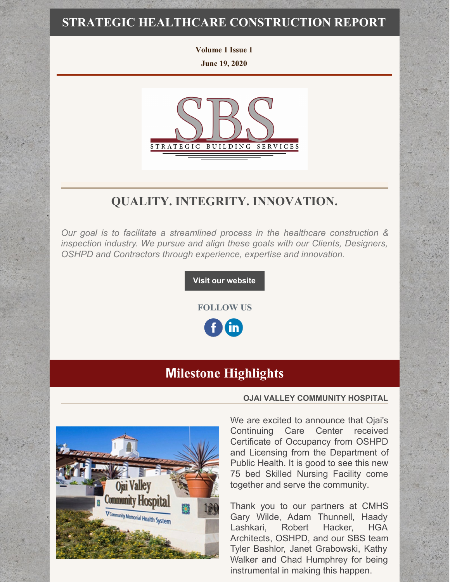### **STRATEGIC HEALTHCARE CONSTRUCTION REPORT**

**Volume 1 Issue 1 June 19, 2020**



## **QUALITY. INTEGRITY. INNOVATION.**

*Our goal is to facilitate a streamlined process in the healthcare construction & inspection industry. We pursue and align these goals with our Clients, Designers, OSHPD and Contractors through experience, expertise and innovation.*

### **Visit our [website](http://www.strategic-building.com/)**

**FOLLOW US**



# **[M](https://em-ui.constantcontact.com/em-ui/em/page/em-ui/email#)ilestone Highlights**



#### **OJAI VALLEY COMMUNITY HOSPITAL**

We are excited to announce that Ojai's Continuing Care Center received Certificate of Occupancy from OSHPD and Licensing from the Department of Public Health. It is good to see this new 75 bed Skilled Nursing Facility come together and serve the community.

Thank you to our partners at CMHS Gary Wilde, Adam Thunnell, Haady Lashkari, Robert Hacker, HGA Architects, OSHPD, and our SBS team Tyler Bashlor, Janet Grabowski, Kathy Walker and Chad Humphrey for being instrumental in making this happen.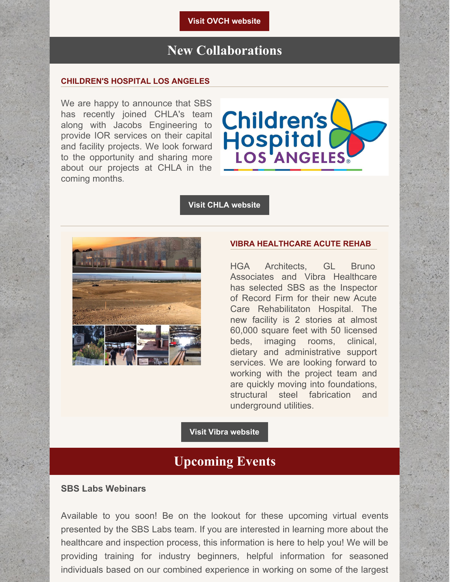**Visit OVCH [website](https://www.cmhshealth.org/locations/continuing-care-center/)**

# **New Collaborations**

#### **CHILDREN'S HOSPITAL LOS ANGELES**

We are happy to announce that SBS has recently joined CHLA's team along with Jacobs Engineering to provide IOR services on their capital and facility projects. We look forward to the opportunity and sharing more about our projects at CHLA in the coming months.



#### **Visit CHLA [website](https://www.chla.org/)**



#### **VIBRA HEALTHCARE ACUTE REHAB**

HGA Architects, GL Bruno Associates and Vibra Healthcare has selected SBS as the Inspector of Record Firm for their new Acute Care Rehabilitaton Hospital. The new facility is 2 stories at almost 60,000 square feet with 50 licensed beds, imaging rooms, clinical, dietary and administrative support services. We are looking forward to working with the project team and are quickly moving into foundations, structural steel fabrication and underground utilities.

#### **Visit Vibra [website](https://www.vibrahealthcare.com/our-services/medical-rehabilitation/)**

### **Upcoming Events**

### **SBS Labs Webinars**

Available to you soon! Be on the lookout for these upcoming virtual events presented by the SBS Labs team. If you are interested in learning more about the healthcare and inspection process, this information is here to help you! We will be providing training for industry beginners, helpful information for seasoned individuals based on our combined experience in working on some of the largest